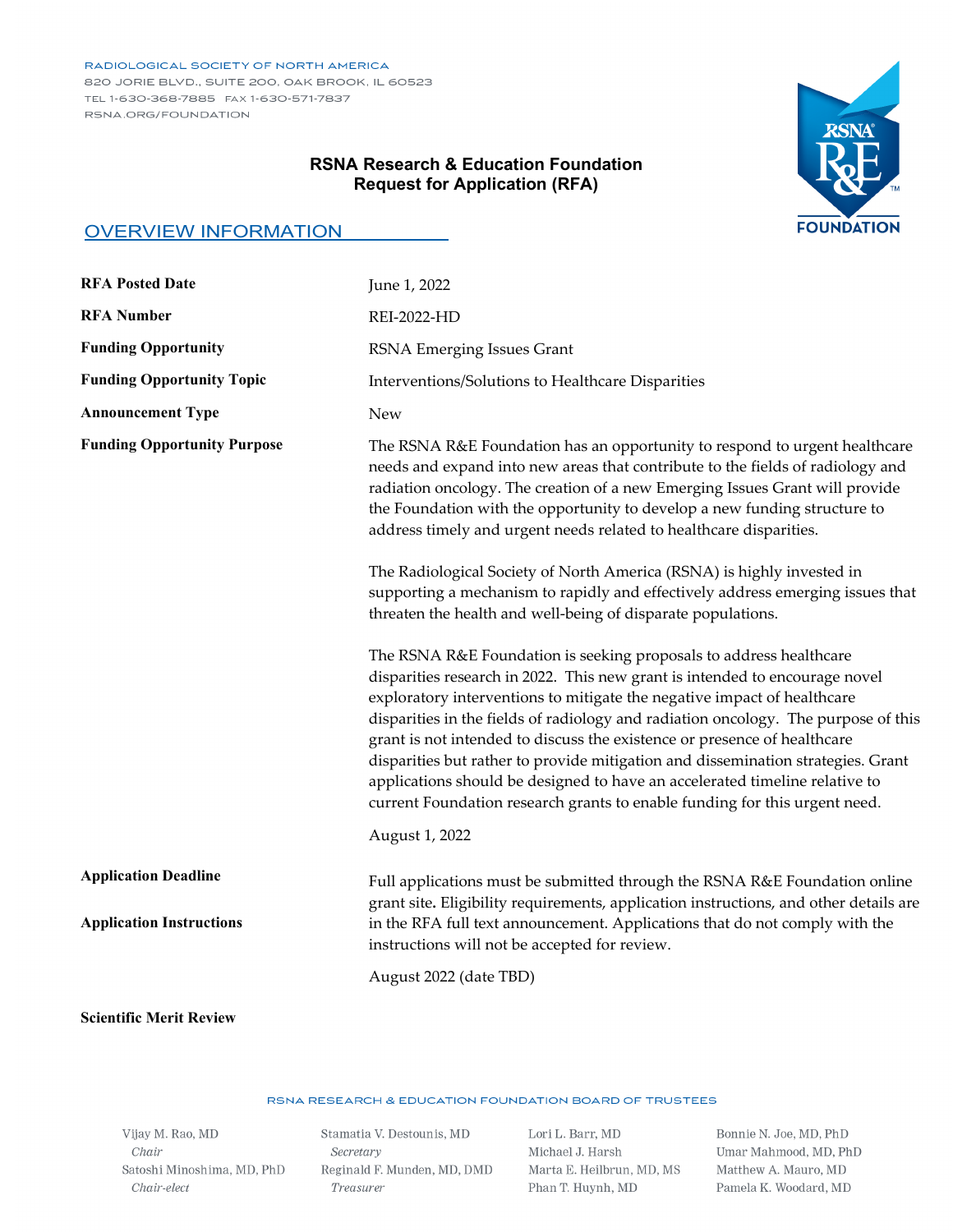#### RADIOLOGICAL SOCIETY OF NORTH AMERICA

820 JORIE BLVD., SUITE 200, OAK BROOK, IL 60523 TEL 1-630-368-7885 FAX 1-630-571-7837 RSNA.ORG/FOUNDATION

# RSNA **FOUNDATION**

# **RSNA Research & Education Foundation Request for Application (RFA)**

## OVERVIEW INFORMATION

| <b>RFA Posted Date</b>                                         | June 1, 2022                                                                                                                                                                                                                                                                                                                                                                                                                                                                                                                                                                                                                                    |
|----------------------------------------------------------------|-------------------------------------------------------------------------------------------------------------------------------------------------------------------------------------------------------------------------------------------------------------------------------------------------------------------------------------------------------------------------------------------------------------------------------------------------------------------------------------------------------------------------------------------------------------------------------------------------------------------------------------------------|
| <b>RFA Number</b>                                              | <b>REI-2022-HD</b>                                                                                                                                                                                                                                                                                                                                                                                                                                                                                                                                                                                                                              |
| <b>Funding Opportunity</b>                                     | RSNA Emerging Issues Grant                                                                                                                                                                                                                                                                                                                                                                                                                                                                                                                                                                                                                      |
| <b>Funding Opportunity Topic</b>                               | Interventions/Solutions to Healthcare Disparities                                                                                                                                                                                                                                                                                                                                                                                                                                                                                                                                                                                               |
| <b>Announcement Type</b>                                       | <b>New</b>                                                                                                                                                                                                                                                                                                                                                                                                                                                                                                                                                                                                                                      |
| <b>Funding Opportunity Purpose</b>                             | The RSNA R&E Foundation has an opportunity to respond to urgent healthcare<br>needs and expand into new areas that contribute to the fields of radiology and<br>radiation oncology. The creation of a new Emerging Issues Grant will provide<br>the Foundation with the opportunity to develop a new funding structure to<br>address timely and urgent needs related to healthcare disparities.                                                                                                                                                                                                                                                 |
|                                                                | The Radiological Society of North America (RSNA) is highly invested in<br>supporting a mechanism to rapidly and effectively address emerging issues that<br>threaten the health and well-being of disparate populations.                                                                                                                                                                                                                                                                                                                                                                                                                        |
|                                                                | The RSNA R&E Foundation is seeking proposals to address healthcare<br>disparities research in 2022. This new grant is intended to encourage novel<br>exploratory interventions to mitigate the negative impact of healthcare<br>disparities in the fields of radiology and radiation oncology. The purpose of this<br>grant is not intended to discuss the existence or presence of healthcare<br>disparities but rather to provide mitigation and dissemination strategies. Grant<br>applications should be designed to have an accelerated timeline relative to<br>current Foundation research grants to enable funding for this urgent need. |
|                                                                | August 1, 2022                                                                                                                                                                                                                                                                                                                                                                                                                                                                                                                                                                                                                                  |
| <b>Application Deadline</b><br><b>Application Instructions</b> | Full applications must be submitted through the RSNA R&E Foundation online<br>grant site. Eligibility requirements, application instructions, and other details are<br>in the RFA full text announcement. Applications that do not comply with the<br>instructions will not be accepted for review.                                                                                                                                                                                                                                                                                                                                             |
|                                                                | August 2022 (date TBD)                                                                                                                                                                                                                                                                                                                                                                                                                                                                                                                                                                                                                          |

#### **Scientific Merit Review**

#### RSNA RESEARCH & EDUCATION FOUNDATION BOARD OF TRUSTEES

Vijay M. Rao, MD  ${\it Chair}$ Satoshi Minoshima, MD, PhD  $Chair\text{-}elect$ 

Stamatia V. Destounis, MD Secretary Reginald F. Munden, MD, DMD Treasurer

Lori L. Barr, MD Michael J. Harsh Marta E. Heilbrun, MD, MS Phan T. Huynh, MD

Bonnie N. Joe, MD, PhD Umar Mahmood, MD, PhD Matthew A. Mauro, MD Pamela K. Woodard, MD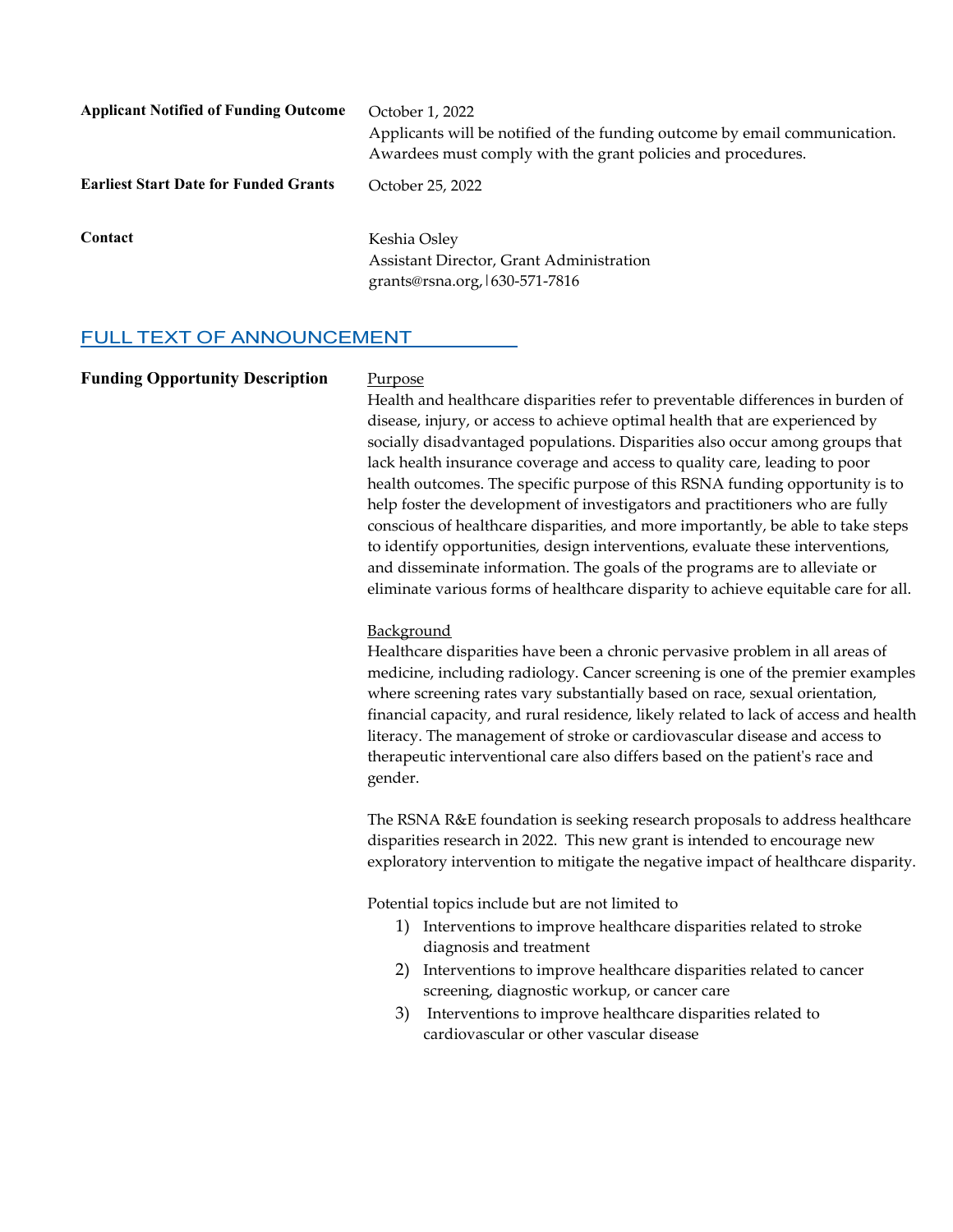| <b>Applicant Notified of Funding Outcome</b> | October 1, 2022<br>Applicants will be notified of the funding outcome by email communication.<br>Awardees must comply with the grant policies and procedures. |
|----------------------------------------------|---------------------------------------------------------------------------------------------------------------------------------------------------------------|
| <b>Earliest Start Date for Funded Grants</b> | October 25, 2022                                                                                                                                              |
| Contact                                      | Keshia Osley<br>Assistant Director, Grant Administration<br>grants@rsna.org, 1630-571-7816                                                                    |

# FULL TEXT OF ANNOUNCEMENT

| <b>Funding Opportunity Description</b> | Purpose<br>Health and healthcare disparities refer to preventable differences in burden of<br>disease, injury, or access to achieve optimal health that are experienced by<br>socially disadvantaged populations. Disparities also occur among groups that<br>lack health insurance coverage and access to quality care, leading to poor<br>health outcomes. The specific purpose of this RSNA funding opportunity is to                                                                                                     |
|----------------------------------------|------------------------------------------------------------------------------------------------------------------------------------------------------------------------------------------------------------------------------------------------------------------------------------------------------------------------------------------------------------------------------------------------------------------------------------------------------------------------------------------------------------------------------|
|                                        | help foster the development of investigators and practitioners who are fully<br>conscious of healthcare disparities, and more importantly, be able to take steps<br>to identify opportunities, design interventions, evaluate these interventions,<br>and disseminate information. The goals of the programs are to alleviate or<br>eliminate various forms of healthcare disparity to achieve equitable care for all.                                                                                                       |
|                                        | Background<br>Healthcare disparities have been a chronic pervasive problem in all areas of<br>medicine, including radiology. Cancer screening is one of the premier examples<br>where screening rates vary substantially based on race, sexual orientation,<br>financial capacity, and rural residence, likely related to lack of access and health<br>literacy. The management of stroke or cardiovascular disease and access to<br>therapeutic interventional care also differs based on the patient's race and<br>gender. |
|                                        | The RSNA R&E foundation is seeking research proposals to address healthcare<br>disparities research in 2022. This new grant is intended to encourage new<br>exploratory intervention to mitigate the negative impact of healthcare disparity.                                                                                                                                                                                                                                                                                |
|                                        | Potential topics include but are not limited to<br>1) Interventions to improve healthcare disparities related to stroke<br>diagnosis and treatment<br>Interventions to improve healthcare disparities related to cancer<br>2)<br>screening, diagnostic workup, or cancer care<br>Interventions to improve healthcare disparities related to<br>3)<br>cardiovascular or other vascular disease                                                                                                                                |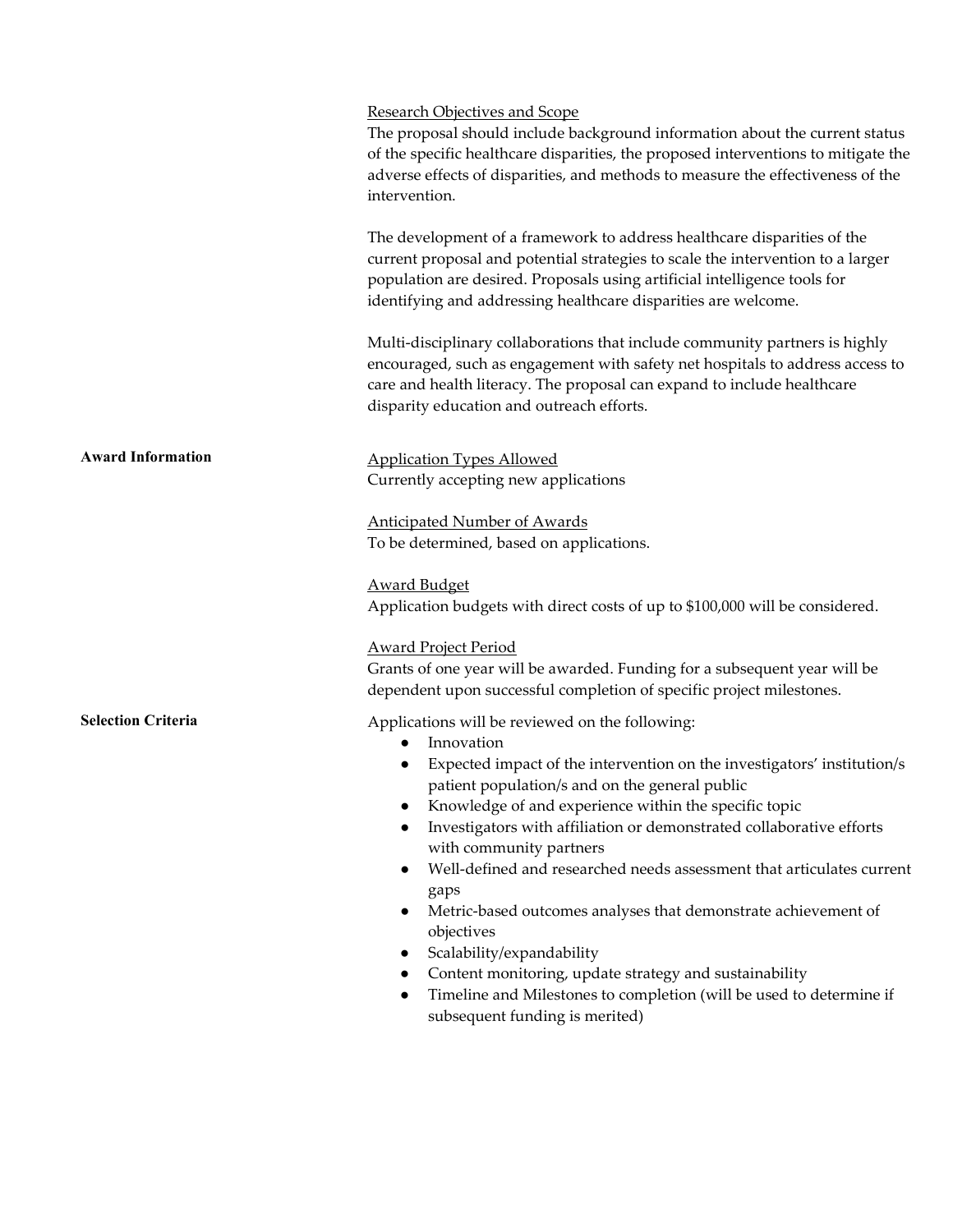|                           | <b>Research Objectives and Scope</b><br>The proposal should include background information about the current status<br>of the specific healthcare disparities, the proposed interventions to mitigate the<br>adverse effects of disparities, and methods to measure the effectiveness of the<br>intervention.                                                       |
|---------------------------|---------------------------------------------------------------------------------------------------------------------------------------------------------------------------------------------------------------------------------------------------------------------------------------------------------------------------------------------------------------------|
|                           | The development of a framework to address healthcare disparities of the<br>current proposal and potential strategies to scale the intervention to a larger<br>population are desired. Proposals using artificial intelligence tools for<br>identifying and addressing healthcare disparities are welcome.                                                           |
|                           | Multi-disciplinary collaborations that include community partners is highly<br>encouraged, such as engagement with safety net hospitals to address access to<br>care and health literacy. The proposal can expand to include healthcare<br>disparity education and outreach efforts.                                                                                |
| <b>Award Information</b>  | <b>Application Types Allowed</b><br>Currently accepting new applications                                                                                                                                                                                                                                                                                            |
|                           | <b>Anticipated Number of Awards</b><br>To be determined, based on applications.                                                                                                                                                                                                                                                                                     |
|                           | <b>Award Budget</b><br>Application budgets with direct costs of up to \$100,000 will be considered.                                                                                                                                                                                                                                                                 |
|                           | <b>Award Project Period</b><br>Grants of one year will be awarded. Funding for a subsequent year will be<br>dependent upon successful completion of specific project milestones.                                                                                                                                                                                    |
| <b>Selection Criteria</b> | Applications will be reviewed on the following:<br>Innovation<br>$\bullet$<br>Expected impact of the intervention on the investigators' institution/s<br>patient population/s and on the general public<br>Knowledge of and experience within the specific topic<br>Investigators with affiliation or demonstrated collaborative efforts<br>with community partners |

- Well-defined and researched needs assessment that articulates current gaps
- $\bullet$  Metric-based outcomes analyses that demonstrate achievement of objectives
- Scalability/expandability
- Content monitoring, update strategy and sustainability
- Timeline and Milestones to completion (will be used to determine if subsequent funding is merited)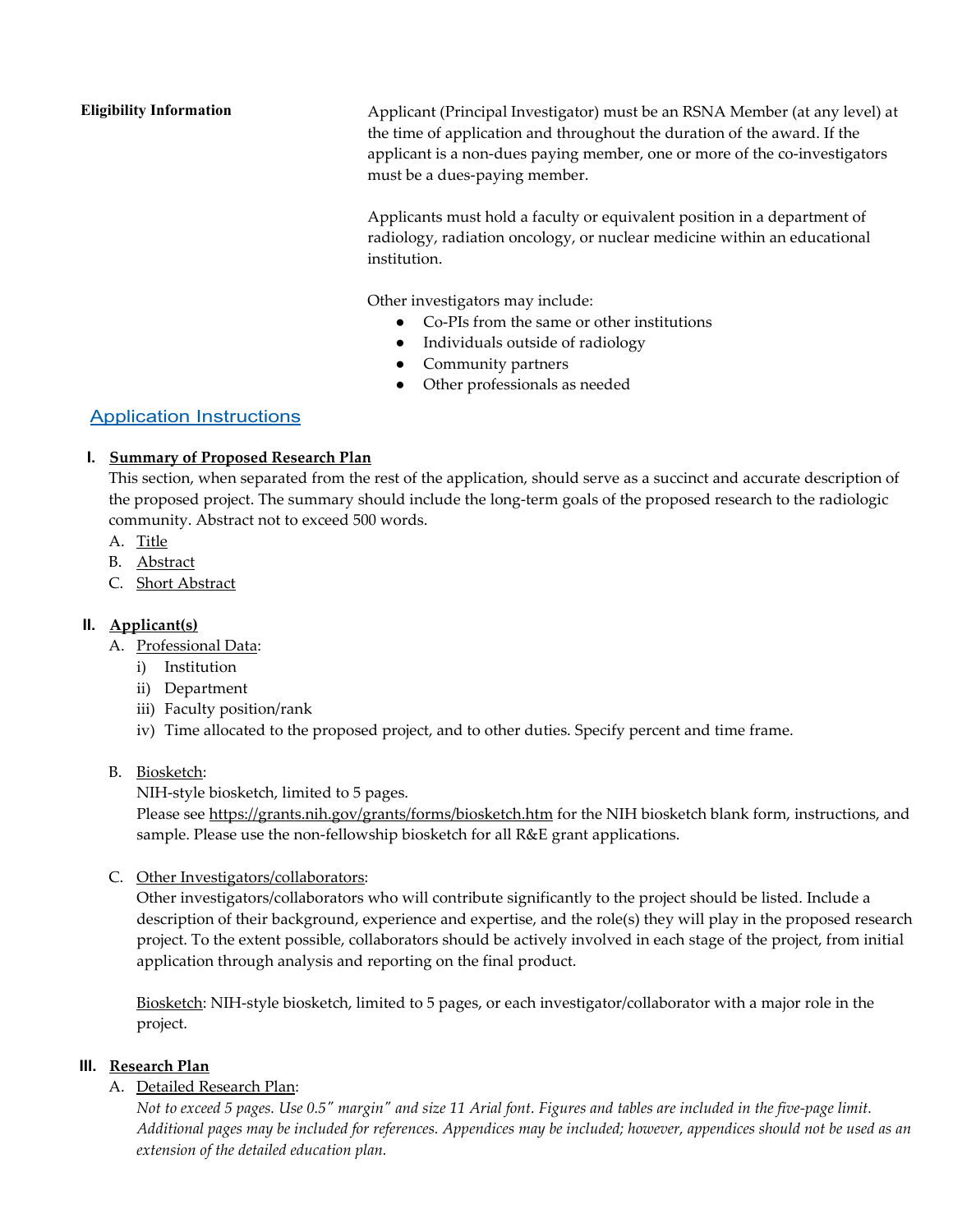**Eligibility Information** Applicant (Principal Investigator) must be an RSNA Member (at any level) at the time of application and throughout the duration of the award. If the applicant is a non-dues paying member, one or more of the co-investigators must be a dues-paying member.

> Applicants must hold a faculty or equivalent position in a department of radiology, radiation oncology, or nuclear medicine within an educational institution.

Other investigators may include:

- Co-PIs from the same or other institutions
- Individuals outside of radiology
- Community partners
- Other professionals as needed

# Application Instructions

#### **I. Summary of Proposed Research Plan**

This section, when separated from the rest of the application, should serve as a succinct and accurate description of the proposed project. The summary should include the long-term goals of the proposed research to the radiologic community. Abstract not to exceed 500 words.

- A. Title
- B. Abstract
- C. Short Abstract

## **II. Applicant(s)**

- A. Professional Data:
	- i) Institution
	- ii) Department
	- iii) Faculty position/rank
	- iv) Time allocated to the proposed project, and to other duties. Specify percent and time frame.

#### B. Biosketch:

NIH-style biosketch, limited to 5 pages.

Please see<https://grants.nih.gov/grants/forms/biosketch.htm> for the NIH biosketch blank form, instructions, and sample. Please use the non-fellowship biosketch for all R&E grant applications.

C. Other Investigators/collaborators:

Other investigators/collaborators who will contribute significantly to the project should be listed. Include a description of their background, experience and expertise, and the role(s) they will play in the proposed research project. To the extent possible, collaborators should be actively involved in each stage of the project, from initial application through analysis and reporting on the final product.

Biosketch: NIH-style biosketch, limited to 5 pages, or each investigator/collaborator with a major role in the project.

#### **III. Research Plan**

#### A. Detailed Research Plan:

*Not to exceed 5 pages. Use 0.5" margin" and size 11 Arial font. Figures and tables are included in the five-page limit. Additional pages may be included for references. Appendices may be included; however, appendices should not be used as an extension of the detailed education plan.*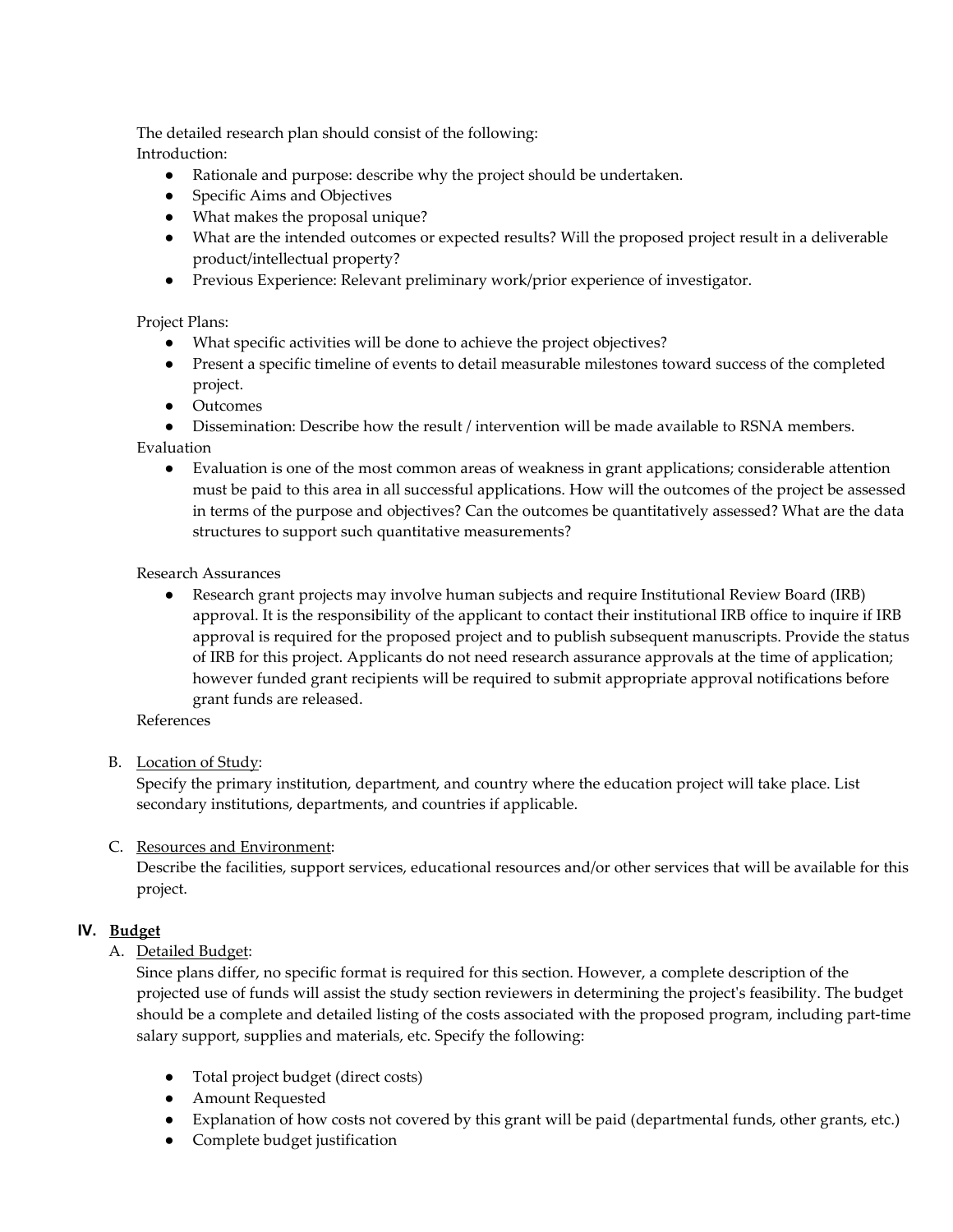The detailed research plan should consist of the following: Introduction:

- Rationale and purpose: describe why the project should be undertaken.
- Specific Aims and Objectives
- What makes the proposal unique?
- What are the intended outcomes or expected results? Will the proposed project result in a deliverable product/intellectual property?
- Previous Experience: Relevant preliminary work/prior experience of investigator.

## Project Plans:

- What specific activities will be done to achieve the project objectives?
- Present a specific timeline of events to detail measurable milestones toward success of the completed project.
- Outcomes
- Dissemination: Describe how the result / intervention will be made available to RSNA members.

Evaluation

● Evaluation is one of the most common areas of weakness in grant applications; considerable attention must be paid to this area in all successful applications. How will the outcomes of the project be assessed in terms of the purpose and objectives? Can the outcomes be quantitatively assessed? What are the data structures to support such quantitative measurements?

#### Research Assurances

● Research grant projects may involve human subjects and require Institutional Review Board (IRB) approval. It is the responsibility of the applicant to contact their institutional IRB office to inquire if IRB approval is required for the proposed project and to publish subsequent manuscripts. Provide the status of IRB for this project. Applicants do not need research assurance approvals at the time of application; however funded grant recipients will be required to submit appropriate approval notifications before grant funds are released.

References

## B. Location of Study:

Specify the primary institution, department, and country where the education project will take place. List secondary institutions, departments, and countries if applicable.

## C. Resources and Environment:

Describe the facilities, support services, educational resources and/or other services that will be available for this project.

## **IV. Budget**

A. Detailed Budget:

Since plans differ, no specific format is required for this section. However, a complete description of the projected use of funds will assist the study section reviewers in determining the project's feasibility. The budget should be a complete and detailed listing of the costs associated with the proposed program, including part-time salary support, supplies and materials, etc. Specify the following:

- Total project budget (direct costs)
- Amount Requested
- Explanation of how costs not covered by this grant will be paid (departmental funds, other grants, etc.)
- Complete budget justification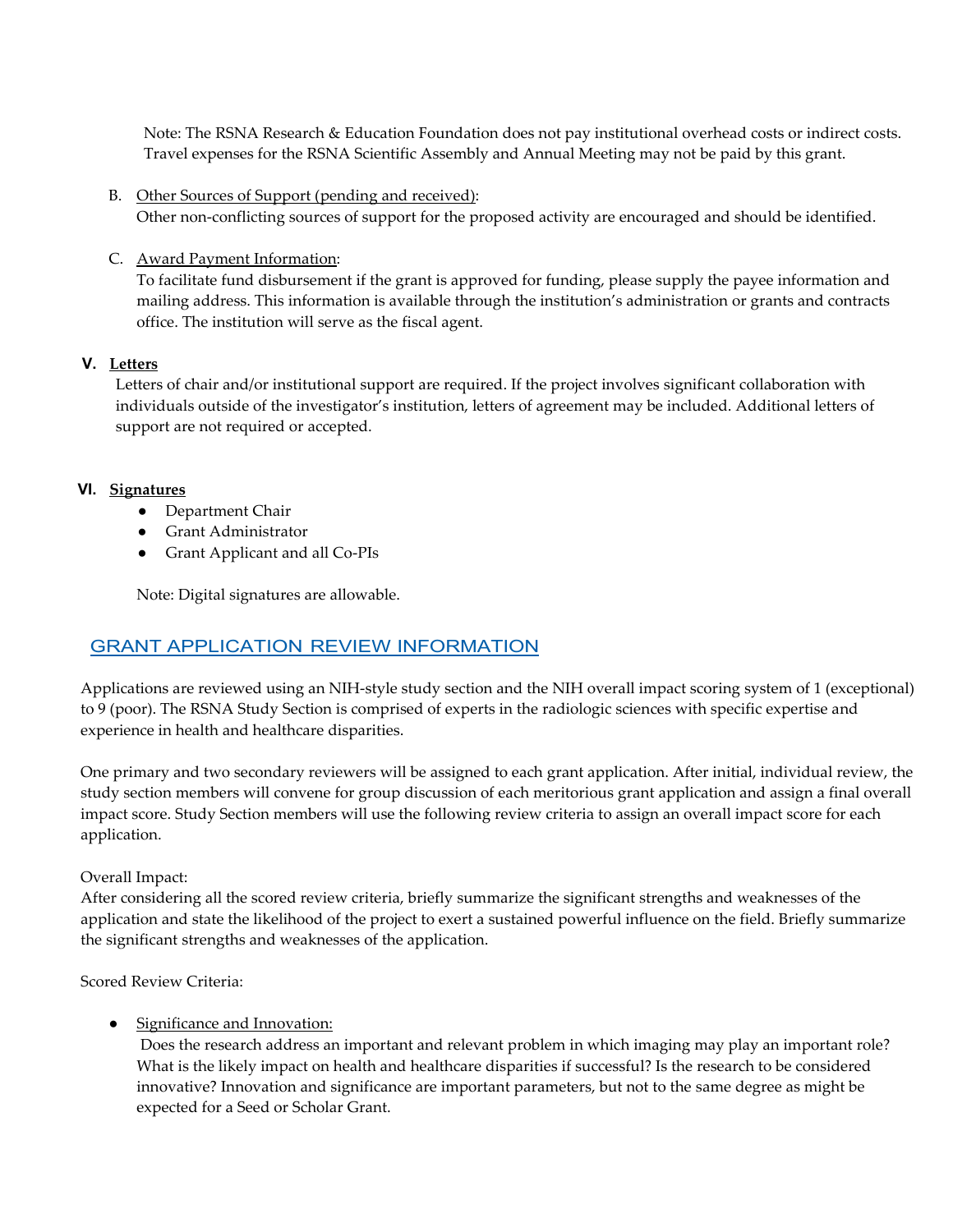Note: The RSNA Research & Education Foundation does not pay institutional overhead costs or indirect costs. Travel expenses for the RSNA Scientific Assembly and Annual Meeting may not be paid by this grant.

B. Other Sources of Support (pending and received):

Other non-conflicting sources of support for the proposed activity are encouraged and should be identified.

C. Award Payment Information:

To facilitate fund disbursement if the grant is approved for funding, please supply the payee information and mailing address. This information is available through the institution's administration or grants and contracts office. The institution will serve as the fiscal agent.

#### **V. Letters**

Letters of chair and/or institutional support are required. If the project involves significant collaboration with individuals outside of the investigator's institution, letters of agreement may be included. Additional letters of support are not required or accepted.

#### **VI. Signatures**

- Department Chair
- Grant Administrator
- Grant Applicant and all Co-PIs

Note: Digital signatures are allowable.

# GRANT APPLICATION REVIEW INFORMATION

Applications are reviewed using an NIH-style study section and the NIH overall impact scoring system of 1 (exceptional) to 9 (poor). The RSNA Study Section is comprised of experts in the radiologic sciences with specific expertise and experience in health and healthcare disparities.

One primary and two secondary reviewers will be assigned to each grant application. After initial, individual review, the study section members will convene for group discussion of each meritorious grant application and assign a final overall impact score. Study Section members will use the following review criteria to assign an overall impact score for each application.

#### Overall Impact:

After considering all the scored review criteria, briefly summarize the significant strengths and weaknesses of the application and state the likelihood of the project to exert a sustained powerful influence on the field. Briefly summarize the significant strengths and weaknesses of the application.

Scored Review Criteria:

#### • Significance and Innovation:

Does the research address an important and relevant problem in which imaging may play an important role? What is the likely impact on health and healthcare disparities if successful? Is the research to be considered innovative? Innovation and significance are important parameters, but not to the same degree as might be expected for a Seed or Scholar Grant.